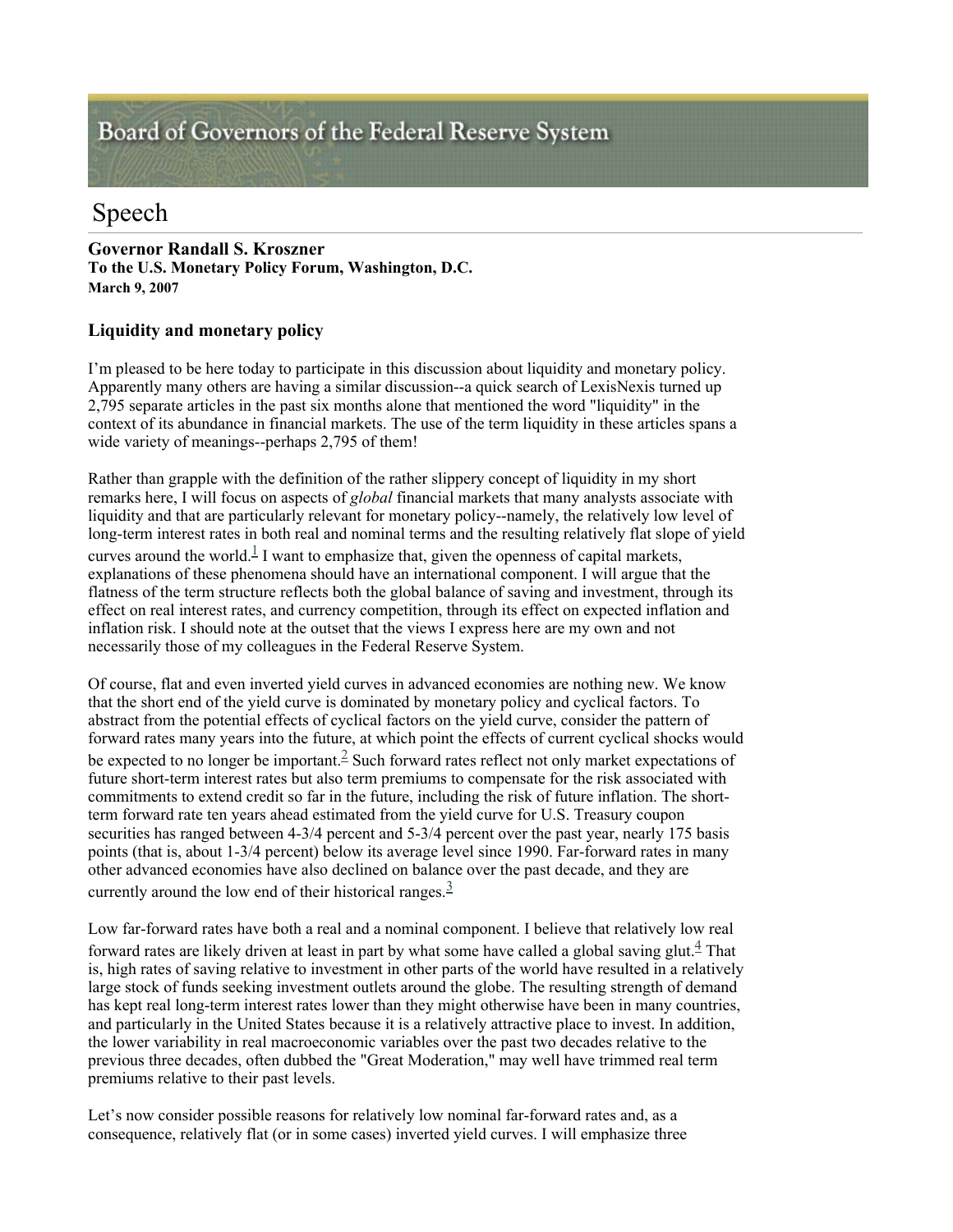## Board of Governors of the Federal Reserve System

## Speech

**Governor Randall S. Kroszner To the U.S. Monetary Policy Forum, Washington, D.C. March 9, 2007** 

## **Liquidity and monetary policy**

I'm pleased to be here today to participate in this discussion about liquidity and monetary policy. Apparently many others are having a similar discussion--a quick search of LexisNexis turned up 2,795 separate articles in the past six months alone that mentioned the word "liquidity" in the context of its abundance in financial markets. The use of the term liquidity in these articles spans a wide variety of meanings--perhaps 2,795 of them!

Rather than grapple with the definition of the rather slippery concept of liquidity in my short remarks here, I will focus on aspects of *global* financial markets that many analysts associate with liquidity and that are particularly relevant for monetary policy--namely, the relatively low level of long-term interest rates in both real and nominal terms and the resulting relatively flat slope of yield curves around the world.<sup>1</sup> I want to emphasize that, given the openness of capital markets, explanations of these phenomena should have an international component. I will argue that the flatness of the term structure reflects both the global balance of saving and investment, through its effect on real interest rates, and currency competition, through its effect on expected inflation and inflation risk. I should note at the outset that the views I express here are my own and not necessarily those of my colleagues in the Federal Reserve System.

Of course, flat and even inverted yield curves in advanced economies are nothing new. We know that the short end of the yield curve is dominated by monetary policy and cyclical factors. To abstract from the potential effects of cyclical factors on the yield curve, consider the pattern of forward rates many years into the future, at which point the effects of current cyclical shocks would be expected to no longer be important.  $\frac{2}{5}$  Such forward rates reflect not only market expectations of future short-term interest rates but also term premiums to compensate for the risk associated with commitments to extend credit so far in the future, including the risk of future inflation. The shortterm forward rate ten years ahead estimated from the yield curve for U.S. Treasury coupon securities has ranged between 4-3/4 percent and 5-3/4 percent over the past year, nearly 175 basis points (that is, about 1-3/4 percent) below its average level since 1990. Far-forward rates in many other advanced economies have also declined on balance over the past decade, and they are currently around the low end of their historical ranges. $\frac{3}{2}$ 

Low far-forward rates have both a real and a nominal component. I believe that relatively low real forward rates are likely driven at least in part by what some have called a global saving glut.<sup>4</sup> That is, high rates of saving relative to investment in other parts of the world have resulted in a relatively large stock of funds seeking investment outlets around the globe. The resulting strength of demand has kept real long-term interest rates lower than they might otherwise have been in many countries, and particularly in the United States because it is a relatively attractive place to invest. In addition, the lower variability in real macroeconomic variables over the past two decades relative to the previous three decades, often dubbed the "Great Moderation," may well have trimmed real term premiums relative to their past levels.

Let's now consider possible reasons for relatively low nominal far-forward rates and, as a consequence, relatively flat (or in some cases) inverted yield curves. I will emphasize three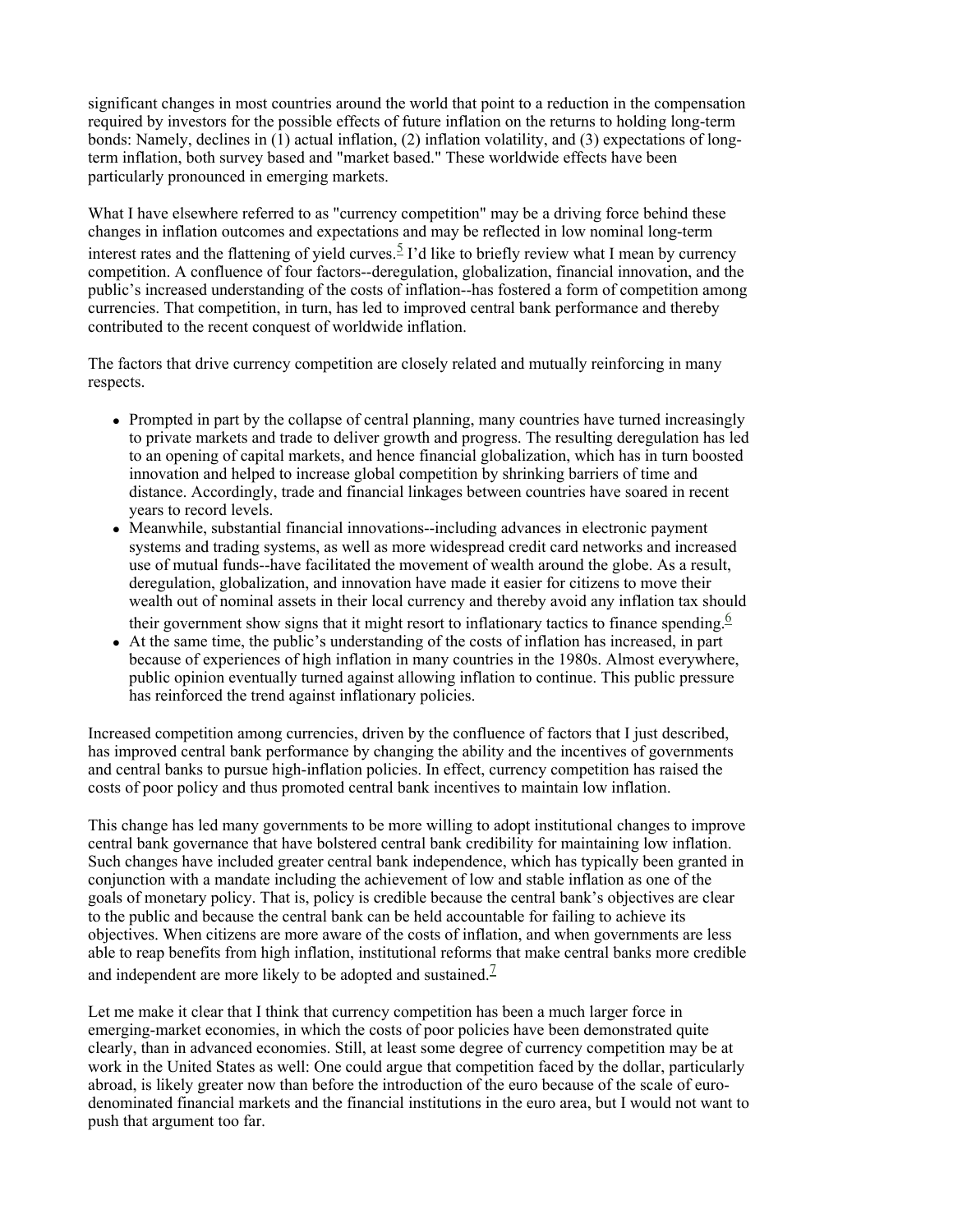significant changes in most countries around the world that point to a reduction in the compensation required by investors for the possible effects of future inflation on the returns to holding long-term bonds: Namely, declines in (1) actual inflation, (2) inflation volatility, and (3) expectations of longterm inflation, both survey based and "market based." These worldwide effects have been particularly pronounced in emerging markets.

What I have elsewhere referred to as "currency competition" may be a driving force behind these changes in inflation outcomes and expectations and may be reflected in low nominal long-term interest rates and the flattening of yield curves.<sup>5</sup> I'd like to briefly review what I mean by currency competition. A confluence of four factors--deregulation, globalization, financial innovation, and the public's increased understanding of the costs of inflation--has fostered a form of competition among currencies. That competition, in turn, has led to improved central bank performance and thereby contributed to the recent conquest of worldwide inflation.

The factors that drive currency competition are closely related and mutually reinforcing in many respects.

- Prompted in part by the collapse of central planning, many countries have turned increasingly to private markets and trade to deliver growth and progress. The resulting deregulation has led to an opening of capital markets, and hence financial globalization, which has in turn boosted innovation and helped to increase global competition by shrinking barriers of time and distance. Accordingly, trade and financial linkages between countries have soared in recent years to record levels.
- Meanwhile, substantial financial innovations--including advances in electronic payment systems and trading systems, as well as more widespread credit card networks and increased use of mutual funds--have facilitated the movement of wealth around the globe. As a result, deregulation, globalization, and innovation have made it easier for citizens to move their wealth out of nominal assets in their local currency and thereby avoid any inflation tax should their government show signs that it might resort to inflationary tactics to finance spending.<sup>6</sup>
- At the same time, the public's understanding of the costs of inflation has increased, in part because of experiences of high inflation in many countries in the 1980s. Almost everywhere, public opinion eventually turned against allowing inflation to continue. This public pressure has reinforced the trend against inflationary policies.

Increased competition among currencies, driven by the confluence of factors that I just described, has improved central bank performance by changing the ability and the incentives of governments and central banks to pursue high-inflation policies. In effect, currency competition has raised the costs of poor policy and thus promoted central bank incentives to maintain low inflation.

This change has led many governments to be more willing to adopt institutional changes to improve central bank governance that have bolstered central bank credibility for maintaining low inflation. Such changes have included greater central bank independence, which has typically been granted in conjunction with a mandate including the achievement of low and stable inflation as one of the goals of monetary policy. That is, policy is credible because the central bank's objectives are clear to the public and because the central bank can be held accountable for failing to achieve its objectives. When citizens are more aware of the costs of inflation, and when governments are less able to reap benefits from high inflation, institutional reforms that make central banks more credible and independent are more likely to be adopted and sustained.<sup>7</sup>

Let me make it clear that I think that currency competition has been a much larger force in emerging-market economies, in which the costs of poor policies have been demonstrated quite clearly, than in advanced economies. Still, at least some degree of currency competition may be at work in the United States as well: One could argue that competition faced by the dollar, particularly abroad, is likely greater now than before the introduction of the euro because of the scale of eurodenominated financial markets and the financial institutions in the euro area, but I would not want to push that argument too far.